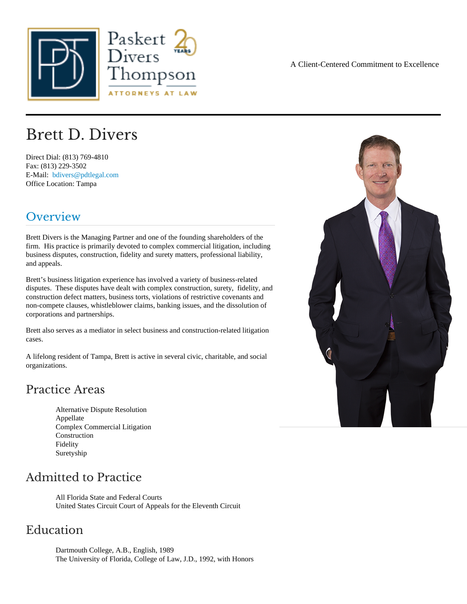# Brett D. Divers

Direct Dial: (813) 769-4810 Fax: (813) 229-3502 E-Mail: [bdivers@pdtlegal.co](mailto:bdivers@pdtlegal.com )m Office Location: Tampa

## Overview

Brett Divers is the Managing Partner and one of the founding shareholders of the firm. His practice is primarily devoted to complex commercial litigation, including business disputes, construction, fidelity and surety matters, professional liability, and appeals.

Brett's business litigation experience has involved a variety of business-related disputes. These disputes have dealt with complex construction, surety, fidelity, and construction defect matters, business torts, violations of restrictive covenants and non-compete clauses, whistleblower claims, banking issues, and the dissolution of corporations and partnerships.

Brett also serves as a mediator in select business and construction-related litigation cases.

A lifelong resident of Tampa, Brett is active in several civic, charitable, and social organizations.

### Practice Areas

Alternative Dispute Resolution Appellate Complex Commercial Litigation **Construction** Fidelity **Suretyship** 

### Admitted to Practice

All Florida State and Federal Courts United States Circuit Court of Appeals for the Eleventh Circuit

#### Education

Dartmouth College, A.B., English, 1989 The University of Florida, College of Law, J.D., 1992, with Honors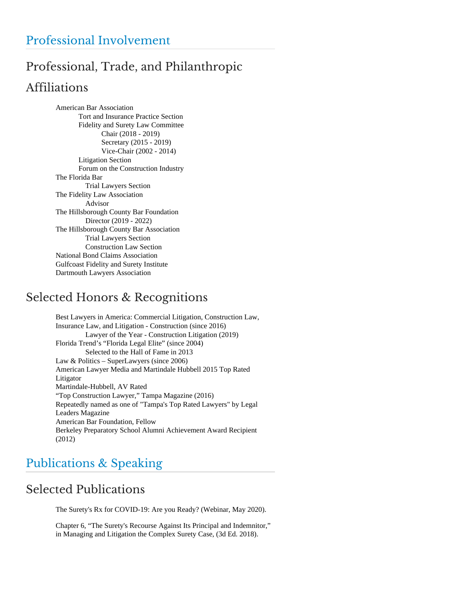# Professional, Trade, and Philanthropic Affiliations

American Bar Association Tort and Insurance Practice Section Fidelity and Surety Law Committee Chair (2018 - 2019) Secretary (2015 - 2019) Vice-Chair (2002 - 2014) Litigation Section Forum on the Construction Industry The Florida Bar Trial Lawyers Section The Fidelity Law Association Advisor The Hillsborough County Bar Foundation Director (2019 - 2022) The Hillsborough County Bar Association Trial Lawyers Section Construction Law Section National Bond Claims Association Gulfcoast Fidelity and Surety Institute Dartmouth Lawyers Association

# Selected Honors & Recognitions

Best Lawyers in America: Commercial Litigation, Construction Law, Insurance Law, and Litigation - Construction (since 2016) Lawyer of the Year - Construction Litigation (2019) Florida Trend's "Florida Legal Elite" (since 2004) Selected to the Hall of Fame in 2013 Law & Politics – SuperLawyers (since 2006) American Lawyer Media and Martindale Hubbell 2015 Top Rated Litigator Martindale-Hubbell, AV Rated "Top Construction Lawyer," Tampa Magazine (2016) Repeatedly named as one of "Tampa's Top Rated Lawyers" by Legal Leaders Magazine American Bar Foundation, Fellow Berkeley Preparatory School Alumni Achievement Award Recipient (2012)

# Publications & Speaking

# Selected Publications

The Surety's Rx for COVID-19: Are you Ready? (Webinar, May 2020).

Chapter 6, "The Surety's Recourse Against Its Principal and Indemnitor," in Managing and Litigation the Complex Surety Case, (3d Ed. 2018).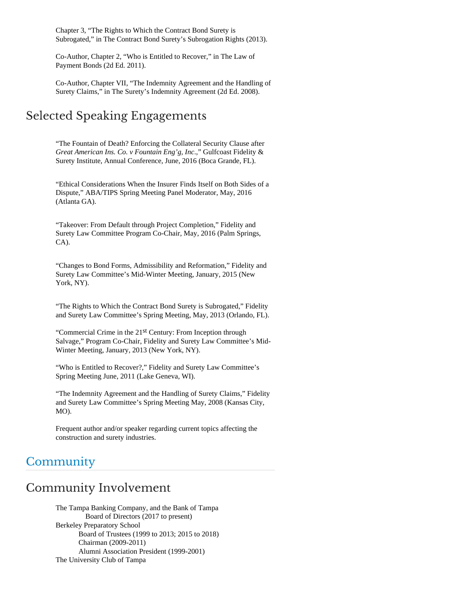Chapter 3, "The Rights to Which the Contract Bond Surety is Subrogated," in The Contract Bond Surety's Subrogation Rights (2013).

Co-Author, Chapter 2, "Who is Entitled to Recover," in The Law of Payment Bonds (2d Ed. 2011).

Co-Author, Chapter VII, "The Indemnity Agreement and the Handling of Surety Claims," in The Surety's Indemnity Agreement (2d Ed. 2008).

### Selected Speaking Engagements

"The Fountain of Death? Enforcing the Collateral Security Clause after *Great American Ins. Co. v Fountain Eng'g, Inc*.," Gulfcoast Fidelity & Surety Institute, Annual Conference, June, 2016 (Boca Grande, FL).

"Ethical Considerations When the Insurer Finds Itself on Both Sides of a Dispute," ABA/TIPS Spring Meeting Panel Moderator, May, 2016 (Atlanta GA).

"Takeover: From Default through Project Completion," Fidelity and Surety Law Committee Program Co-Chair, May, 2016 (Palm Springs, CA).

"Changes to Bond Forms, Admissibility and Reformation," Fidelity and Surety Law Committee's Mid-Winter Meeting, January, 2015 (New York, NY).

"The Rights to Which the Contract Bond Surety is Subrogated," Fidelity and Surety Law Committee's Spring Meeting, May, 2013 (Orlando, FL).

"Commercial Crime in the 21<sup>st</sup> Century: From Inception through Salvage," Program Co-Chair, Fidelity and Surety Law Committee's Mid-Winter Meeting, January, 2013 (New York, NY).

"Who is Entitled to Recover?," Fidelity and Surety Law Committee's Spring Meeting June, 2011 (Lake Geneva, WI).

"The Indemnity Agreement and the Handling of Surety Claims," Fidelity and Surety Law Committee's Spring Meeting May, 2008 (Kansas City, MO).

Frequent author and/or speaker regarding current topics affecting the construction and surety industries.

## **Community**

## Community Involvement

The Tampa Banking Company, and the Bank of Tampa Board of Directors (2017 to present) Berkeley Preparatory School Board of Trustees (1999 to 2013; 2015 to 2018) Chairman (2009-2011) Alumni Association President (1999-2001) The University Club of Tampa